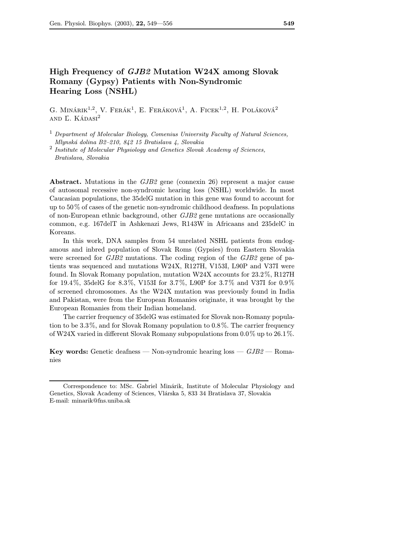# High Frequency of GJB2 Mutation W24X among Slovak Romany (Gypsy) Patients with Non-Syndromic Hearing Loss (NSHL)

G. MINÁRIK<sup>1,2</sup>, V. FERÁK<sup>1</sup>, E. FERÁKOVÁ<sup>1</sup>, A. FICEK<sup>1,2</sup>, H. POLÁKOVÁ<sup>2</sup> and Ľ. Kádasi<sup>2</sup>

<sup>2</sup> Institute of Molecular Physiology and Genetics Slovak Academy of Sciences, Bratislava, Slovakia

Abstract. Mutations in the GJB2 gene (connexin 26) represent a major cause of autosomal recessive non-syndromic hearing loss (NSHL) worldwide. In most Caucasian populations, the 35delG mutation in this gene was found to account for up to 50% of cases of the genetic non-syndromic childhood deafness. In populations of non-European ethnic background, other GJB2 gene mutations are occasionally common, e.g. 167delT in Ashkenazi Jews, R143W in Africaans and 235delC in Koreans.

In this work, DNA samples from 54 unrelated NSHL patients from endogamous and inbred population of Slovak Roms (Gypsies) from Eastern Slovakia were screened for *GJB2* mutations. The coding region of the *GJB2* gene of patients was sequenced and mutations W24X, R127H, V153I, L90P and V37I were found. In Slovak Romany population, mutation W24X accounts for 23.2%, R127H for 19.4%, 35delG for 8.3%, V153I for 3.7%, L90P for 3.7% and V37I for 0.9% of screened chromosomes. As the W24X mutation was previously found in India and Pakistan, were from the European Romanies originate, it was brought by the European Romanies from their Indian homeland.

The carrier frequency of 35delG was estimated for Slovak non-Romany population to be 3.3%, and for Slovak Romany population to 0.8%. The carrier frequency of W24X varied in different Slovak Romany subpopulations from 0.0% up to 26.1%.

**Key words:** Genetic deafness — Non-syndromic hearing  $loss - GJB2 - \text{Roma}$ nies

 $<sup>1</sup>$  Department of Molecular Biology, Comenius University Faculty of Natural Sciences,</sup> Mlynská dolina B2–210, 842 15 Bratislava 4, Slovakia

Correspondence to: MSc. Gabriel Minárik, Institute of Molecular Physiology and Genetics, Slovak Academy of Sciences, Vlárska 5, 833 34 Bratislava 37, Slovakia E-mail: minarik@fns.uniba.sk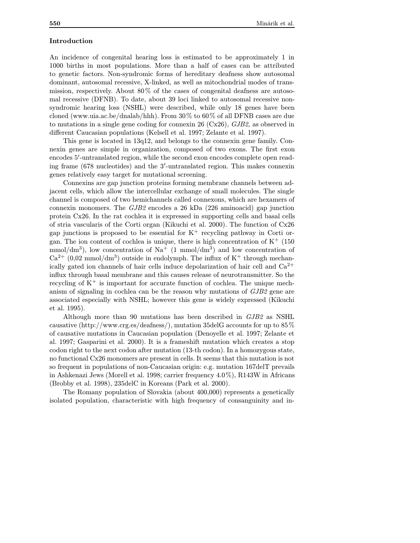## Introduction

An incidence of congenital hearing loss is estimated to be approximately 1 in 1000 births in most populations. More than a half of cases can be attributed to genetic factors. Non-syndromic forms of hereditary deafness show autosomal dominant, autosomal recessive, X-linked, as well as mitochondrial modes of transmission, respectively. About 80% of the cases of congenital deafness are autosomal recessive (DFNB). To date, about 39 loci linked to autosomal recessive nonsyndromic hearing loss (NSHL) were described, while only 18 genes have been cloned (www.uia.ac.be/dnalab/hhh). From 30% to 60% of all DFNB cases are due to mutations in a single gene coding for connexin 26 (Cx26), GJB2, as observed in different Caucasian populations (Kelsell et al. 1997; Zelante et al. 1997).

This gene is located in 13q12, and belongs to the connexin gene family. Connexin genes are simple in organization, composed of two exons. The first exon encodes 5'-untranslated region, while the second exon encodes complete open reading frame (678 nucleotides) and the 3'-untranslated region. This makes connexin genes relatively easy target for mutational screening.

Connexins are gap junction proteins forming membrane channels between adjacent cells, which allow the intercellular exchange of small molecules. The single channel is composed of two hemichannels called connexons, which are hexamers of connexin monomers. The GJB2 encodes a 26 kDa (226 aminoacid) gap junction protein Cx26. In the rat cochlea it is expressed in supporting cells and basal cells of stria vascularis of the Corti organ (Kikuchi et al. 2000). The function of Cx26 gap junctions is proposed to be essential for  $K^+$  recycling pathway in Corti organ. The ion content of cochlea is unique, there is high concentration of  $K^+$  (150) mmol/dm<sup>3</sup>), low concentration of Na<sup>+</sup> (1 mmol/dm<sup>3</sup>) and low concentration of  $Ca^{2+}$  (0.02 mmol/dm<sup>3</sup>) outside in endolymph. The influx of K<sup>+</sup> through mechanically gated ion channels of hair cells induce depolarization of hair cell and  $Ca^{2+}$ influx through basal membrane and this causes release of neurotransmitter. So the recycling of  $K^+$  is important for accurate function of cochlea. The unique mechanism of signaling in cochlea can be the reason why mutations of GJB2 gene are associated especially with NSHL; however this gene is widely expressed (Kikuchi et al. 1995).

Although more than 90 mutations has been described in GJB2 as NSHL causative (http://www.crg.es/deafness/), mutation 35delG accounts for up to 85% of causative mutations in Caucasian population (Denoyelle et al. 1997; Zelante et al. 1997; Gasparini et al. 2000). It is a frameshift mutation which creates a stop codon right to the next codon after mutation (13-th codon). In a homozygous state, no functional Cx26 monomers are present in cells. It seems that this mutation is not so frequent in populations of non-Caucasian origin: e.g. mutation 167delT prevails in Ashkenazi Jews (Morell et al. 1998; carrier frequency 4.0%), R143W in Africans (Brobby et al. 1998), 235delC in Koreans (Park et al. 2000).

The Romany population of Slovakia (about 400,000) represents a genetically isolated population, characteristic with high frequency of consanguinity and in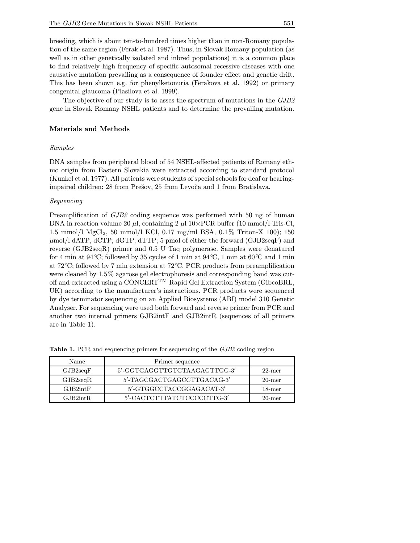breeding, which is about ten-to-hundred times higher than in non-Romany population of the same region (Ferak et al. 1987). Thus, in Slovak Romany population (as well as in other genetically isolated and inbred populations) it is a common place to find relatively high frequency of specific autosomal recessive diseases with one causative mutation prevailing as a consequence of founder effect and genetic drift. This has been shown e.g. for phenylketonuria (Ferakova et al. 1992) or primary congenital glaucoma (Plasilova et al. 1999).

The objective of our study is to asses the spectrum of mutations in the GJB2 gene in Slovak Romany NSHL patients and to determine the prevailing mutation.

### Materials and Methods

#### Samples

DNA samples from peripheral blood of 54 NSHL-affected patients of Romany ethnic origin from Eastern Slovakia were extracted according to standard protocol (Kunkel et al. 1977). All patients were students of special schools for deaf or hearingimpaired children: 28 from Prešov, 25 from Levoča and 1 from Bratislava.

### Sequencing

Preamplification of GJB2 coding sequence was performed with 50 ng of human DNA in reaction volume 20  $\mu$ , containing 2  $\mu$ l 10×PCR buffer (10 mmol/l Tris-Cl, 1.5 mmol/l MgCl2, 50 mmol/l KCl, 0.17 mg/ml BSA, 0.1% Triton-X 100); 150  $\mu$ mol/l dATP, dCTP, dGTP, dTTP; 5 pmol of either the forward (GJB2seqF) and reverse (GJB2seqR) primer and 0.5 U Taq polymerase. Samples were denatured for 4 min at  $94\degree C$ ; followed by 35 cycles of 1 min at  $94\degree C$ , 1 min at  $60\degree C$  and 1 min at 72◦ C; followed by 7 min extension at 72◦ C. PCR products from preamplification were cleaned by 1.5% agarose gel electrophoresis and corresponding band was cutoff and extracted using a CONCERTTM Rapid Gel Extraction System (GibcoBRL, UK) according to the manufacturer's instructions. PCR products were sequenced by dye terminator sequencing on an Applied Biosystems (ABI) model 310 Genetic Analyser. For sequencing were used both forward and reverse primer from PCR and another two internal primers GJB2intF and GJB2intR (sequences of all primers are in Table 1).

| Name     | Primer sequence              |           |
|----------|------------------------------|-----------|
| GJB2seqF | 5'-GGTGAGGTTGTGTAAGAGTTGG-3' | $22$ -mer |
| GJB2seqR | 5'-TAGCGACTGAGCCTTGACAG-3'   | $20$ -mer |
| GJB2intF | 5'-GTGGCCTACCGGAGACAT-3'     | $18$ -mer |
| GJB2intR | 5'-CACTCTTTATCTCCCCCTTG-3'   | $20$ -mer |

Table 1. PCR and sequencing primers for sequencing of the GJB2 coding region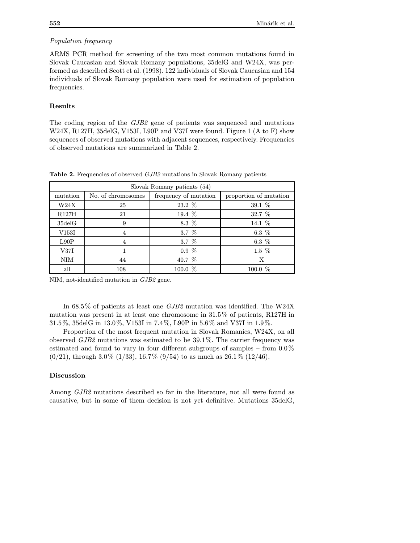# Population frequency

ARMS PCR method for screening of the two most common mutations found in Slovak Caucasian and Slovak Romany populations, 35delG and W24X, was performed as described Scott et al. (1998). 122 individuals of Slovak Caucasian and 154 individuals of Slovak Romany population were used for estimation of population frequencies.

## Results

The coding region of the GJB2 gene of patients was sequenced and mutations W24X, R127H, 35delG, V153I, L90P and V37I were found. Figure 1 (A to F) show sequences of observed mutations with adjacent sequences, respectively. Frequencies of observed mutations are summarized in Table 2.

| Slovak Romany patients (54) |                    |                       |                        |  |
|-----------------------------|--------------------|-----------------------|------------------------|--|
| mutation                    | No. of chromosomes | frequency of mutation | proportion of mutation |  |
| W24X                        | 25                 | 23.2 %                | 39.1 %                 |  |
| R127H                       | 21                 | 19.4 $%$              | 32.7 %                 |  |
| $35$ del $G$                | 9                  | 8.3 %                 | 14.1 %                 |  |
| V153I                       | 4                  | 3.7 %                 | 6.3 $%$                |  |
| L90P                        | $\overline{4}$     | $3.7\%$               | 6.3 $%$                |  |
| V37I                        |                    | $0.9\%$               | $1.5\%$                |  |
| <b>NIM</b>                  | 44                 | 40.7 %                | X                      |  |
| all                         | 108                | 100.0 %               | 100.0 %                |  |

Table 2. Frequencies of observed GJB2 mutations in Slovak Romany patients

NIM, not-identified mutation in GJB2 gene.

In 68.5% of patients at least one GJB2 mutation was identified. The W24X mutation was present in at least one chromosome in 31.5% of patients, R127H in 31.5%, 35delG in 13.0%, V153I in 7.4%, L90P in 5.6% and V37I in 1.9%.

Proportion of the most frequent mutation in Slovak Romanies, W24X, on all observed  $GJB2$  mutations was estimated to be 39.1%. The carrier frequency was estimated and found to vary in four different subgroups of samples – from 0.0%  $(0/21)$ , through 3.0%  $(1/33)$ , 16.7%  $(9/54)$  to as much as 26.1%  $(12/46)$ .

## Discussion

Among GJB2 mutations described so far in the literature, not all were found as causative, but in some of them decision is not yet definitive. Mutations 35delG,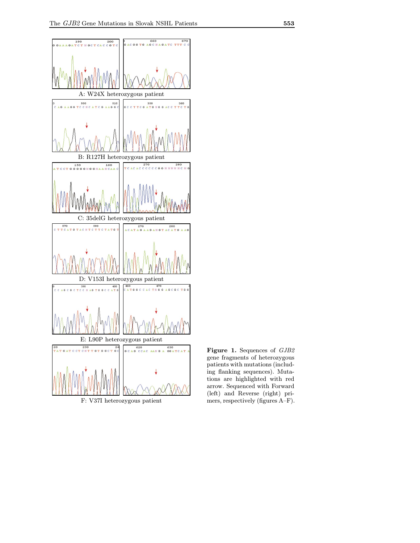

Figure 1. Sequences of GJB2 gene fragments of heterozygous patients with mutations (including flanking sequences). Mutations are highlighted with red arrow. Sequenced with Forward (left) and Reverse (right) primers, respectively (figures A–F).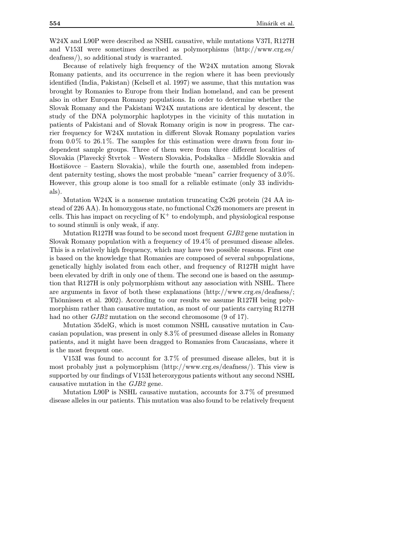W24X and L90P were described as NSHL causative, while mutations V37I, R127H and V153I were sometimes described as polymorphisms (http://www.crg.es/ deafness/), so additional study is warranted.

Because of relatively high frequency of the W24X mutation among Slovak Romany patients, and its occurrence in the region where it has been previously identified (India, Pakistan) (Kelsell et al. 1997) we assume, that this mutation was brought by Romanies to Europe from their Indian homeland, and can be present also in other European Romany populations. In order to determine whether the Slovak Romany and the Pakistani W24X mutations are identical by descent, the study of the DNA polymorphic haplotypes in the vicinity of this mutation in patients of Pakistani and of Slovak Romany origin is now in progress. The carrier frequency for W24X mutation in different Slovak Romany population varies from 0.0% to 26.1%. The samples for this estimation were drawn from four independent sample groups. Three of them were from three different localities of Slovakia (Plavecký Štvrtok – Western Slovakia, Podskalka – Middle Slovakia and Hostišovce – Eastern Slovakia), while the fourth one, assembled from independent paternity testing, shows the most probable "mean" carrier frequency of 3.0%. However, this group alone is too small for a reliable estimate (only 33 individuals).

Mutation W24X is a nonsense mutation truncating Cx26 protein (24 AA instead of 226 AA). In homozygous state, no functional Cx26 monomers are present in cells. This has impact on recycling of  $K^+$  to endolymph, and physiological response to sound stimuli is only weak, if any.

Mutation R127H was found to be second most frequent GJB2 gene mutation in Slovak Romany population with a frequency of 19.4% of presumed disease alleles. This is a relatively high frequency, which may have two possible reasons. First one is based on the knowledge that Romanies are composed of several subpopulations, genetically highly isolated from each other, and frequency of R127H might have been elevated by drift in only one of them. The second one is based on the assumption that R127H is only polymorphism without any association with NSHL. There are arguments in favor of both these explanations (http://www.crg.es/deafness/; Thönnissen et al. 2002). According to our results we assume R127H being polymorphism rather than causative mutation, as most of our patients carrying R127H had no other *GJB2* mutation on the second chromosome (9 of 17).

Mutation 35delG, which is most common NSHL causative mutation in Caucasian population, was present in only 8.3% of presumed disease alleles in Romany patients, and it might have been dragged to Romanies from Caucasians, where it is the most frequent one.

V153I was found to account for 3.7% of presumed disease alleles, but it is most probably just a polymorphism (http://www.crg.es/deafness/). This view is supported by our findings of V153I heterozygous patients without any second NSHL causative mutation in the GJB2 gene.

Mutation L90P is NSHL causative mutation, accounts for 3.7% of presumed disease alleles in our patients. This mutation was also found to be relatively frequent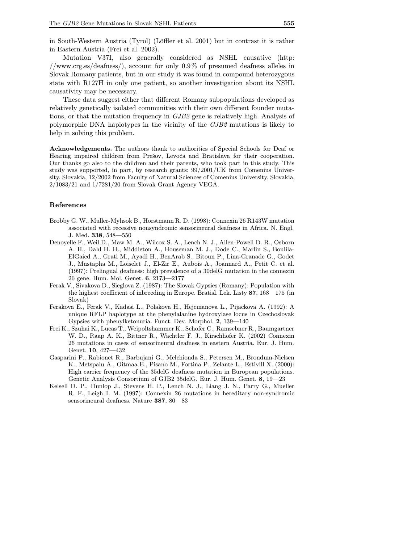in South-Western Austria (Tyrol) (Löffler et al. 2001) but in contrast it is rather in Eastern Austria (Frei et al. 2002).

Mutation V37I, also generally considered as NSHL causative (http: //www.crg.es/deafness/), account for only 0.9% of presumed deafness alleles in Slovak Romany patients, but in our study it was found in compound heterozygous state with R127H in only one patient, so another investigation about its NSHL causativity may be necessary.

These data suggest either that different Romany subpopulations developed as relatively genetically isolated communities with their own different founder mutations, or that the mutation frequency in GJB2 gene is relatively high. Analysis of polymorphic DNA haplotypes in the vicinity of the GJB2 mutations is likely to help in solving this problem.

Acknowledgements. The authors thank to authorities of Special Schools for Deaf or Hearing impaired children from Prešov, Levoča and Bratislava for their cooperation. Our thanks go also to the children and their parents, who took part in this study. This study was supported, in part, by research grants: 99/2001/UK from Comenius University, Slovakia, 12/2002 from Faculty of Natural Sciences of Comenius University, Slovakia, 2/1083/21 and 1/7281/20 from Slovak Grant Agency VEGA.

#### References

- Brobby G. W., Muller-Myhsok B., Horstmann R. D. (1998): Connexin 26 R143W mutation associated with recessive nonsyndromic sensorineural deafness in Africa. N. Engl. J. Med. 338, 548—550
- Denoyelle F., Weil D., Maw M. A., Wilcox S. A., Lench N. J., Allen-Powell D. R., Osborn A. H., Dahl H. H., Middleton A., Houseman M. J., Dode C., Marlin S., Boulila-ElGaied A., Grati M., Ayadi H., BenArab S., Bitoun P., Lina-Granade G., Godet J., Mustapha M., Loiselet J., El-Zir E., Aubois A., Joannard A., Petit C. et al. (1997): Prelingual deafness: high prevalence of a 30delG mutation in the connexin 26 gene. Hum. Mol. Genet. 6, 2173—2177
- Ferak V., Sivakova D., Sieglova Z. (1987): The Slovak Gypsies (Romany): Population with the highest coefficient of inbreeding in Europe. Bratisl. Lek. Listy 87, 168—175 (in Slovak)
- Ferakova E., Ferak V., Kadasi L., Polakova H., Hejcmanova L., Pijackova A. (1992): A unique RFLP haplotype at the phenylalanine hydroxylase locus in Czechoslovak Gypsies with phenylketonuria. Funct. Dev. Morphol. 2, 139—140
- Frei K., Szuhai K., Lucas T., Weipoltshammer K., Schofer C., Ramsebner R., Baumgartner W. D., Raap A. K., Bittner R., Wachtler F. J., Kirschhofer K. (2002) Connexin 26 mutations in cases of sensorineural deafness in eastern Austria. Eur. J. Hum. Genet. 10, 427—432
- Gasparini P., Rabionet R., Barbujani G., Melchionda S., Petersen M., Brondum-Nielsen K., Metspalu A., Oitmaa E., Pisano M., Fortina P., Zelante L., Estivill X. (2000): High carrier frequency of the 35delG deafness mutation in European populations. Genetic Analysis Consortium of GJB2 35delG. Eur. J. Hum. Genet. 8, 19—23
- Kelsell D. P., Dunlop J., Stevens H. P., Lench N. J., Liang J. N., Parry G., Mueller R. F., Leigh I. M. (1997): Connexin 26 mutations in hereditary non-syndromic sensorineural deafness. Nature 387, 80—83